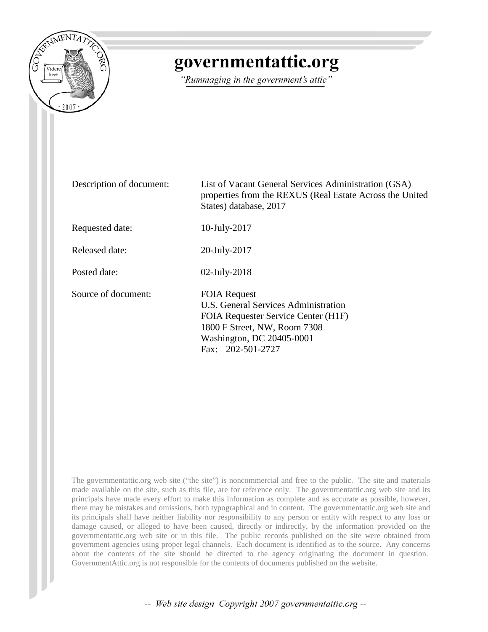

## governmentattic.org

"Rummaging in the government's attic"

Description of document: List of Vacant General Services Administration (GSA) properties from the REXUS (Real Estate Across the United States) database, 2017 Requested date: 10-July-2017 Released date: 20-July-2017 Posted date: 02-July-2018 Source of document: FOIA Request U.S. General Services Administration FOIA Requester Service Center (H1F) 1800 F Street, NW, Room 7308 Washington, DC 20405-0001 Fax: 202-501-2727

The governmentattic.org web site ("the site") is noncommercial and free to the public. The site and materials made available on the site, such as this file, are for reference only. The governmentattic.org web site and its principals have made every effort to make this information as complete and as accurate as possible, however, there may be mistakes and omissions, both typographical and in content. The governmentattic.org web site and its principals shall have neither liability nor responsibility to any person or entity with respect to any loss or damage caused, or alleged to have been caused, directly or indirectly, by the information provided on the governmentattic.org web site or in this file. The public records published on the site were obtained from government agencies using proper legal channels. Each document is identified as to the source. Any concerns about the contents of the site should be directed to the agency originating the document in question. GovernmentAttic.org is not responsible for the contents of documents published on the website.

-- Web site design Copyright 2007 governmentattic.org --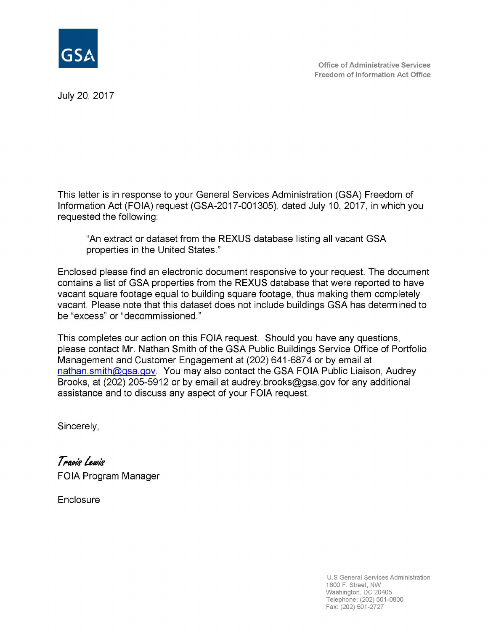

July 20, 2017

This letter is in response to your General Services Administration (GSA) Freedom of Information Act (FOIA) request (GSA-2017-001305), dated July 10, 2017, in which you requested the following:

"An extract or dataset from the REXUS database listing all vacant GSA properties in the United States."

Enclosed please find an electronic document responsive to your request. The document contains a list of GSA properties from the REXUS database that were reported to have vacant square footage equal to building square footage, thus making them completely vacant. Please note that this dataset does not include buildings GSA has determined to be "excess" or "decommissioned."

This completes our action on this FOIA request. Should you have any questions, please contact Mr. Nathan Smith of the GSA Public Buildings Service Office of Portfolio Management and Customer Engagement at (202) 641-6874 or by email at nathan.smith@gsa.gov. You may also contact the GSA FOIA Public Liaison, Audrey Brooks, at (202) 205-5912 or by email at audrey.brooks@gsa.gov for any additional assistance and to discuss any aspect of your FOIA request.

Sincerely,

Travis Lewis FOIA Program Manager

**Enclosure** 

U.S General Services Administration 1800 F. Street, NW Washington, DC 20405 Telephone: (202) 501-0800 Fax: (202) 501-2727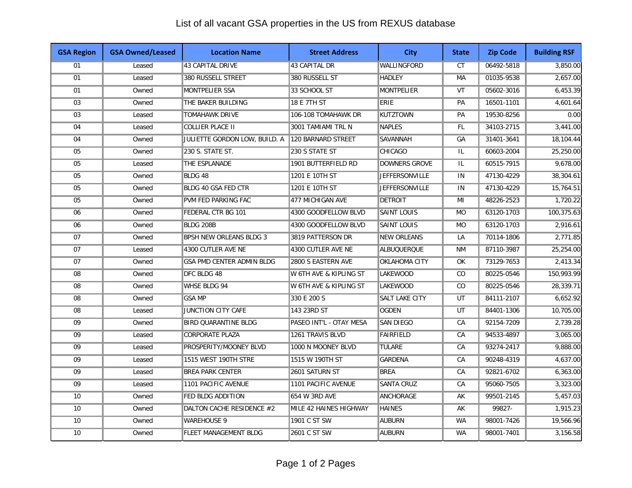## List of all vacant GSA properties in the US from REXUS database

| <b>GSA Region</b> | <b>GSA Owned/Leased</b> | <b>Location Name</b>             | <b>Street Address</b>             | <b>City</b>           | <b>State</b> | <b>Zip Code</b> | <b>Building RSF</b> |
|-------------------|-------------------------|----------------------------------|-----------------------------------|-----------------------|--------------|-----------------|---------------------|
| 01                | Leased                  | 43 CAPITAL DRIVE                 | 43 CAPITAL DR                     | WALLINGFORD           | <b>CT</b>    | 06492-5818      | 3,850.00            |
| 01                | Leased                  | 380 RUSSELL STREET               | 380 RUSSELL ST                    | <b>HADLEY</b>         | <b>MA</b>    | 01035-9538      | 2,657.00            |
| 01                | Owned                   | MONTPELIER SSA                   | 33 SCHOOL ST                      | <b>MONTPELIER</b>     | VT           | 05602-3016      | 6,453.39            |
| 03                | Owned                   | THE BAKER BUILDING               | 18 E 7TH ST                       | <b>ERIE</b>           | PA           | 16501-1101      | 4,601.64            |
| 03                | Leased                  | <b>TOMAHAWK DRIVE</b>            | 106-108 TOMAHAWK DR               | <b>KUTZTOWN</b>       | PA           | 19530-8256      | 0.00                |
| 04                | Leased                  | COLLIER PLACE II                 | 3001 TAMIAMI TRL N                | NAPLES                | FL           | 34103-2715      | 3,441.00            |
| 04                | Owned                   | JULIETTE GORDON LOW, BUILD. A    | 120 BARNARD STREET                | SAVANNAH              | GA           | 31401-3641      | 18,104.44           |
| 05                | Owned                   | 230 S. STATE ST.                 | 230 S STATE ST                    | <b>CHICAGO</b>        | IL           | 60603-2004      | 25,250.00           |
| 05                | Leased                  | THE ESPLANADE                    | 1901 BUTTERFIELD RD               | DOWNERS GROVE         | IL           | 60515-7915      | 9,678.00            |
| 05                | Owned                   | BLDG 48                          | 1201 E 10TH ST                    | <b>JEFFERSONVILLE</b> | IN           | 47130-4229      | 38,304.61           |
| 05                | Owned                   | <b>BLDG 40 GSA FED CTR</b>       | 1201 E 10TH ST                    | <b>JEFFERSONVILLE</b> | IN           | 47130-4229      | 15,764.51           |
| $\overline{05}$   | Owned                   | <b>PVM FED PARKING FAC</b>       | 477 MICHIGAN AVE                  | <b>DETROIT</b>        | MI           | 48226-2523      | 1,720.22            |
| 06                | Owned                   | FEDERAL CTR BG 101               | 4300 GOODFELLOW BLVD              | <b>SAINT LOUIS</b>    | <b>MO</b>    | 63120-1703      | 100,375.63          |
| 06                | Owned                   | BLDG 208B                        | 4300 GOODFELLOW BLVD              | <b>SAINT LOUIS</b>    | <b>MO</b>    | 63120-1703      | 2,916.61            |
| 07                | Owned                   | <b>BPSH NEW ORLEANS BLDG 3</b>   | 3819 PATTERSON DR                 | <b>NEW ORLEANS</b>    | LA           | 70114-1806      | 2,771.85            |
| 07                | Leased                  | 4300 CUTLER AVE NE               | 4300 CUTLER AVE NE                | <b>ALBUQUERQUE</b>    | <b>NM</b>    | 87110-3987      | 25,254.00           |
| 07                | Owned                   | <b>GSA PMD CENTER ADMIN BLDG</b> | 2800 S EASTERN AVE                | <b>OKLAHOMA CITY</b>  | OK           | 73129-7653      | 2,413.34            |
| 08                | Owned                   | DFC BLDG 48                      | W 6TH AVE & KIPLING ST            | <b>LAKEWOOD</b>       | CO           | 80225-0546      | 150,993.99          |
| 08                | Owned                   | WHSE BLDG 94                     | <b>W 6TH AVE &amp; KIPLING ST</b> | <b>LAKEWOOD</b>       | CO           | 80225-0546      | 28,339.71           |
| 08                | Owned                   | <b>GSA MP</b>                    | 330 E 200 S                       | SALT LAKE CITY        | UT           | 84111-2107      | 6,652.92            |
| 08                | Leased                  | JUNCTION CITY CAFE               | 143 23RD ST                       | <b>OGDEN</b>          | UT           | 84401-1306      | 10,705.00           |
| 09                | Owned                   | BIRD QUARANTINE BLDG             | PASEO INT'L - OTAY MESA           | <b>SAN DIEGO</b>      | CA           | 92154-7209      | 2.739.28            |
| 09                | Leased                  | <b>CORPORATE PLAZA</b>           | 1261 TRAVIS BLVD                  | FAIRFIELD             | CA           | 94533-4897      | 3,065.00            |
| 09                | Leased                  | PROSPERITY/MOONEY BLVD           | 1000 N MOONEY BLVD                | <b>TULARE</b>         | CA           | 93274-2417      | 9,888.00            |
| 09                | Leased                  | 1515 WEST 190TH STRE             | 1515 W 190TH ST                   | <b>GARDENA</b>        | CA           | 90248-4319      | 4,637.00            |
| 09                | Leased                  | <b>BREA PARK CENTER</b>          | 2601 SATURN ST                    | <b>BREA</b>           | CA           | 92821-6702      | 6,363.00            |
| 09                | Leased                  | 1101 PACIFIC AVENUE              | 1101 PACIFIC AVENUE               | <b>SANTA CRUZ</b>     | CA           | 95060-7505      | 3,323.00            |
| 10                | Owned                   | <b>FED BLDG ADDITION</b>         | 654 W 3RD AVE                     | ANCHORAGE             | AK           | 99501-2145      | 5,457.03            |
| 10                | Owned                   | DALTON CACHE RESIDENCE #2        | MILE 42 HAINES HIGHWAY            | <b>HAINES</b>         | AK           | 99827-          | 1,915.23            |
| 10                | Owned                   | <b>WAREHOUSE 9</b>               | 1901 C ST SW                      | AUBURN                | <b>WA</b>    | 98001-7426      | 19,566.96           |
| 10                | Owned                   | <b>FLEET MANAGEMENT BLDG</b>     | 2601 C ST SW                      | <b>AUBURN</b>         | <b>WA</b>    | 98001-7401      | 3,156.58            |